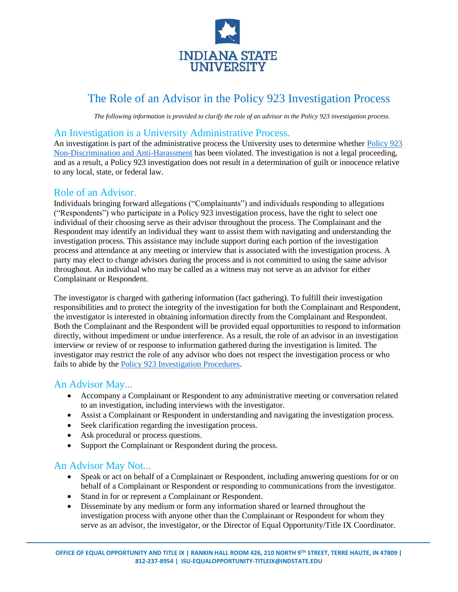

# The Role of an Advisor in the Policy 923 Investigation Process

*The following information is provided to clarify the role of an advisor in the Policy 923 investigation process.*

## An Investigation is a University Administrative Process.

An investigation is part of the administrative process the University uses to determine whether [Policy 923](https://www.indstate.edu/policy-library/non-discrimination-and-anti-harassment)  [Non-Discrimination and Anti-Harassment](https://www.indstate.edu/policy-library/non-discrimination-and-anti-harassment) has been violated. The investigation is not a legal proceeding, and as a result, a Policy 923 investigation does not result in a determination of guilt or innocence relative to any local, state, or federal law.

## Role of an Advisor.

Individuals bringing forward allegations ("Complainants") and individuals responding to allegations ("Respondents") who participate in a Policy 923 investigation process, have the right to select one individual of their choosing serve as their advisor throughout the process. The Complainant and the Respondent may identify an individual they want to assist them with navigating and understanding the investigation process. This assistance may include support during each portion of the investigation process and attendance at any meeting or interview that is associated with the investigation process. A party may elect to change advisors during the process and is not committed to using the same advisor throughout. An individual who may be called as a witness may not serve as an advisor for either Complainant or Respondent.

The investigator is charged with gathering information (fact gathering). To fulfill their investigation responsibilities and to protect the integrity of the investigation for both the Complainant and Respondent, the investigator is interested in obtaining information directly from the Complainant and Respondent. Both the Complainant and the Respondent will be provided equal opportunities to respond to information directly, without impediment or undue interference. As a result, the role of an advisor in an investigation interview or review of or response to information gathered during the investigation is limited. The investigator may restrict the role of any advisor who does not respect the investigation process or who fails to abide by the [Policy 923 Investigation Procedures.](https://www.indstate.edu/sites/default/files/media/interim-policy-923-investigation-procedures_1.pdf)

### An Advisor May...

- Accompany a Complainant or Respondent to any administrative meeting or conversation related to an investigation, including interviews with the investigator.
- Assist a Complainant or Respondent in understanding and navigating the investigation process.
- Seek clarification regarding the investigation process.
- Ask procedural or process questions.
- Support the Complainant or Respondent during the process.

# An Advisor May Not...

- Speak or act on behalf of a Complainant or Respondent, including answering questions for or on behalf of a Complainant or Respondent or responding to communications from the investigator.
- Stand in for or represent a Complainant or Respondent.
- Disseminate by any medium or form any information shared or learned throughout the investigation process with anyone other than the Complainant or Respondent for whom they serve as an advisor, the investigator, or the Director of Equal Opportunity/Title IX Coordinator.